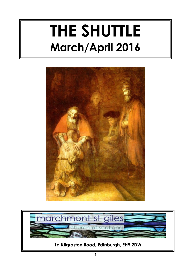# **THE SHUTTLE March/April 2016**



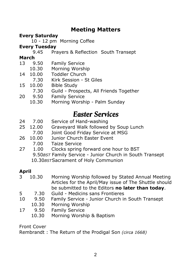# **Meeting Matters**

#### **Every Saturday**

10 - 12 pm Morning Coffee

#### **Every Tuesday**

9.45 Prayers & Reflection South Transept

#### **March**

- 13 9.50 Family Service
	- 10.30 Morning Worship
- 14 10.00 Toddler Church
	- 7.30 Kirk Session St Giles
- 15 10.00 Bible Study
- 7.30 Guild Prospects, All Friends Together
- 20 9.50 Family Service
	- 10.30 Morning Worship Palm Sunday

# *Easter Services*

- 24 7.00 Service of Hand-washing
- 25 12.00 Graveyard Walk followed by Soup Lunch
	- 7.00 Joint Good Friday Service at MSG
- 26 10.00 Junior Church Easter Event
	- 7.00 Taize Service
- 27 1.00 Clocks spring forward one hour to BST 9.50*BST* Family Service - Junior Church in South Transept 10.30*BST*Sacrament of Holy Communion

#### **April**

- 3 10.30 Morning Worship followed by Stated Annual Meeting Articles for the April/May issue of The Shuttle should be submitted to the Editors **no later than today**.
- 5 7.30 Guild Medicins sans Frontieres
- 10 9.50 Family Service Junior Church in South Transept<br>10.30 Morning Worship
- Morning Worship
- 17 9.50 Family Service
	- 10.30 Morning Worship & Baptism

Front Cover

Rembrandt : The Return of the Prodigal Son *(circa 1668)*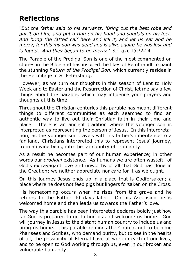# **Reflections**

*"But the father said to his servants, 'Bring out the best robe and put it on him, and put a ring on his hand and sandals on his feet. And bring the fatted calf here and kill it, and let us eat and be merry; for this my son was dead and is alive again; he was lost and is found. And they began to be merry.'* St Luke 15:22-24

The Parable of the Prodigal Son is one of the most commented on stories in the Bible and has inspired the likes of Rembrandt to paint the stunning *Return of the Prodigal Son,* which currently resides in the Hermitage in St Petersburg.

However, as we turn our thoughts in this season of Lent to Holy Week and to Easter and the Resurrection of Christ, let me say a few things about the parable, which may influence your prayers and thoughts at this time.

Throughout the Christian centuries this parable has meant different things to different communities as each searched to find an authentic way to live out their Christian faith in their time and place. There is an ancient tradition where the younger son is interpreted as representing the person of Jesus. In this interpretation, as the younger son travels with his father's inheritance to a far land, Christians interpreted this to represent Jesus' journey, from a divine being into the far country of humanity.

As a result he becomes part of our human experience; in other words our *prodigal* existence. As humans we are often wasteful of God's extravagant love and unworthy of all that God has done in the Creation; we neither appreciate nor care for it as we ought.

On this journey Jesus ends up in a place that is Godforsaken; a place where he does not feed pigs but lingers forsaken on the Cross.

His homecoming occurs when he rises from the grave and he returns to the Father 40 days later. On his Ascension he is welcomed home and then leads us towards the Father's love.

The way this parable has been interpreted declares boldly just how far God is prepared to go to find us and welcome us home. God will journey in Jesus to the distant human country to include us and bring us home. This parable reminds the Church, not to become Pharisees and Scribes, who demand purity, but to see in the hearts of all, the possibility of Eternal Love at work in each of our lives, and to be open to God working through us, even in our broken and vulnerable humanity.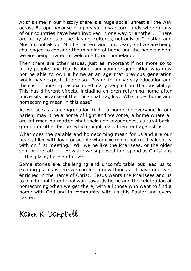At this time in our history there is a huge social unrest all the way across Europe because of upheaval in war torn lands where many of our countries have been involved in one way or another. There are many stories of the clash of cultures, not only of Christian and Muslim, but also of Middle Eastern and European, and we are being challenged to consider the meaning of home and the people whom we are being invited to welcome to our homeland.

Then there are other issues, just as important if not more so to many people, and that is about our younger generation who may not be able to own a home at an age that previous generation would have expected to do so. Paying for university education and the cost of housing has excluded many people from that possibility. This has different effects, including children returning home after university because of their financial fragility. What does home and homecoming mean in this case?

As we seek as a congregation to be a home for everyone in our parish, may it be a home of light and welcome, a home where all are affirmed no matter what their age, experience, cultural background or other factors which might mark them out against us.

What does the parable and homecoming mean for us and are our hearts filled with love for people whom we might not readily identify with on first meeting. Will we be like the Pharisees, or the older son, or the father. How are we supposed to respond as Christians in this place, here and now?

Some stories are challenging and uncomfortable but lead us to exciting places where we can learn new things and have our lives enriched in the name of Christ. Jesus wants the Pharisees and us to join in that intentional walk towards home and the celebration of homecoming when we get there, with all those who want to find a home with God and in community with us this Easter and every Easter.

# Karen K Campbell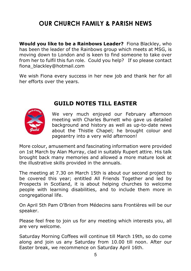# **OUR CHURCH FAMILY & PARISH NEWS**

**Would you like to be a Rainbows Leader?** Fiona Blackley, who has been the leader of the Rainbows group which meets at MSG, is moving down to London and is keen to find someone to take over from her to fulfil this fun role. Could you help? If so please contact fiona\_blackley@hotmail.com

We wish Fiona every success in her new job and thank her for all her efforts over the years.

#### **GUILD NOTES TILL EASTER**



We very much enjoyed our February afternoon meeting with Charles Burnett who gave us detailed background and history as well as up-to-date news about the Thistle Chapel; he brought colour and pageantry into a very wild afternoon!

More colour, amusement and fascinating information were provided on 1st March by Alan Murray, clad in suitably Rupert attire. His talk brought back many memories and allowed a more mature look at the illustrative skills provided in the annuals.

The meeting at 7.30 on March 15th is about our second project to be covered this year; entitled All Friends Together and led by Prospects in Scotland, it is about helping churches to welcome people with learning disabilities, and to include them more in congregational life.

On April 5th Pam O'Brien from Médecins sans Frontières will be our speaker.

Please feel free to join us for any meeting which interests you, all are very welcome.

Saturday Morning Coffees will continue till March 19th, so do come along and join us any Saturday from 10.00 till noon. After our Easter break, we recommence on Saturday April 16th.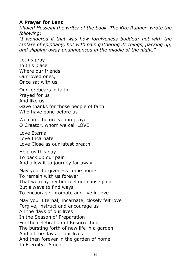#### **A Prayer for Lent**

*Khaled Hosseini the writer of the book, The Kite Runner, wrote the following:*

*"I wondered if that was how forgiveness budded; not with the fanfare of epiphany, but with pain gathering its things, packing up, and slipping away unannounced in the middle of the night."*

Let us pray In this place Where our friends Our loved ones, Once sat with us

Our forebears in faith Prayed for us And like us Gave thanks for those people of faith Who have gone before us

We come before you in prayer O Creator, whom we call LOVE

Love Eternal Love Incarnate Love Close as our latest breath

Help us this day To pack up our pain And allow it to journey far away

May your forgiveness come home To remain with us forever That we may neither feel nor cause pain But always to find ways To encourage, promote and live in love.

May your Eternal, Incarnate, closely felt love Forgive, instruct and encourage us All the days of our lives In the Season of Preparation For the celebration of Resurrection The bursting forth of new life in a garden And all the days of our lives And then forever in the garden of home In Eternity. Amen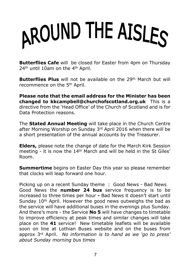# AROUND THE AISLES

**Butterflies Cafe** will be closed for Easter from 4pm on Thursday 24<sup>th</sup> until 10am on the 4<sup>th</sup> April.

**Butterflies Plus** will not be available on the 29<sup>th</sup> March but will recommence on the 5th April.

**Please note that the email address for the Minister has been changed to kkcampbell@churchofscotland.org.uk** This is a directive from the 'Head Office' of the Church of Scotland and is for Data Protection reasons.

The **Stated Annual Meeting** will take place in the Church Centre after Morning Worship on Sunday 3rd April 2016 when there will be a short presentation of the annual accounts by the Treasurer.

**Elders,** please note the change of date for the March Kirk Session meeting - it is now the 14th March and will be held in the St Giles' Room.

**Summertime** begins on Easter Day this year so please remember that clocks will leap forward one hour.

Picking up on a recent Sunday theme : Good News - Bad News Good News the **number 24 bus** service frequency is to be increased to three times per hour **-** Bad News it doesn't start until Sunday 10<sup>th</sup> April. However the good news outweighs the bad as the service will have additional buses in the evenings plus Sunday. And there's more - the Service **No 5** will have changes to timetable to improve efficiency at peak times and similar changes will take place on the **41** service! New timetable leaflets will be available soon on line at Lothian Buses website and on the buses from approx 3rd April. *No information is to hand as we 'go to press' about Sunday morning bus times*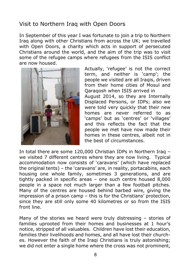## Visit to Northern Iraq with Open Doors

In September of this year I was fortunate to join a trip to Northern Iraq along with other Christians from across the UK; we travelled with Open Doors, a charity which acts in support of persecuted Christians around the world, and the aim of the trip was to visit some of the refugee camps where refugees from the ISIS conflict are now housed.



Actually, 'refugee' is not the correct term, and neither is 'camp'; the people we visited are all Iraqis, driven from their home cities of Mosul and Qaraqosh when ISIS arrived in August 2014, so they are Internally Displaced Persons, or IDPs; also we were told very quickly that their new homes are never referred to as 'camps' but as 'centres' or 'villages' and this reflects the fact that the people we met have now made their homes in these centres, albeit not in the best of circumstances.

In total there are some 120,000 Christian IDPs in Northern Iraq – we visited 7 different centres where they are now living. Typical accommodation now consists of 'caravans' (which have replaced the original tents) – the 'caravans' are, in reality, portacabins, each housing one whole family, sometimes 3 generations, and are tightly packed in specific areas – one such centre housed 8,000 people in a space not much larger than a few football pitches. Many of the centres are housed behind barbed wire, giving the impression of a prison camp – this is for the Christians' protection, since they are still only some 40 kilometres or so from the ISIS front line.

Many of the stories we heard were truly distressing – stories of families uprooted from their homes and businesses at 1 hour's notice, stripped of all valuables. Children have lost their education, families their livelihoods and homes, and all have lost their churches. However the faith of the Iraqi Christians is truly astonishing; we did not enter a single home where the cross was not prominent,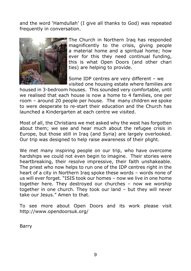and the word 'Hamdullah' (I give all thanks to God) was repeated frequently in conversation.



The Church in Northern Iraq has responded magnificently to the crisis, giving people a material home and a spiritual home; how ever for this they need continual funding, this is what Open Doors (and other chari ties) are helping to provide.

Some IDP centres are very different – we visited one housing estate where families are

housed in 3-bedroom houses. This sounded very comfortable, until we realised that each house is now a home to 4 families, one per room – around 20 people per house. The many children we spoke to were desperate to re-start their education and the Church has launched a Kindergarten at each centre we visited.

Most of all, the Christians we met asked why the west has forgotten about them; we see and hear much about the refugee crisis in Europe, but those still in Iraq (and Syria) are largely overlooked. Our trip was designed to help raise awareness of their plight.

We met many inspiring people on our trip, who have overcome hardships we could not even begin to imagine. Their stories were heartbreaking, their resolve impressive, their faith unshakeable. The priest who now helps to run one of the IDP centres right in the heart of a city in Northern Iraq spoke these words – words none of us will ever forget. "ISIS took our homes – now we live in one home together here. They destroyed our churches – now we worship together in one church. They took our land – but they will never take our Jesus." Amen to that.

To see more about Open Doors and its work please visit http://www.opendoorsuk.org/

Barry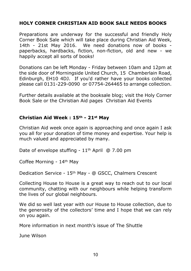#### **HOLY CORNER CHRISTIAN AID BOOK SALE NEEDS BOOKS**

Preparations are underway for the successful and friendly Holy Corner Book Sale which will take place during Christian Aid Week, 14th - 21st May 2016. We need donations now of books paperbacks, hardbacks, fiction, non-fiction, old and new - we happily accept all sorts of books!

Donations can be left Monday - Friday between 10am and 12pm at the side door of Morningside United Church, 15 Chamberlain Road, Edinburgh, EH10 4DJ. If you'd rather have your books collected please call 0131-229-0090 or 07754-264465 to arrange collection.

Further details available at the booksale blog; visit the Holy Corner Book Sale or the Christian Aid pages Christian Aid Events

#### **Christian Aid Week : 15th - 21st May**

Christian Aid week once again is approaching and once again I ask you all for your donation of time money and expertise. Your help is much valued and appreciated by many.

Date of envelope stuffing - 11th April @ 7.00 pm

Coffee Morning - 14th May

Dedication Service - 15th May - @ GSCC, Chalmers Crescent

Collecting House to House is a great way to reach out to our local community, chatting with our neighbours while helping transform the lives of our global neighbours.

We did so well last year with our House to House collection, due to the generosity of the collectors' time and I hope that we can rely on you again.

More information in next month's issue of The Shuttle

June Wilson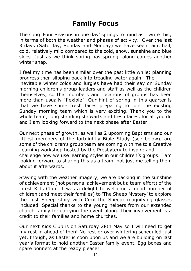# **Family Focus**

The song 'Four Seasons in one day' springs to mind as I write this; in terms of both the weather and phases of activity. Over the last 3 days (Saturday, Sunday and Monday) we have seen rain, hail, cold, relatively mild compared to the cold, snow, sunshine and blue skies. Just as we think spring has sprung, along comes another winter snap.

I feel my time has been similar over the past little while; planning progress then slipping back into treading water again. The inevitable winter colds and lurgies have had their say on Sunday morning children's group leaders and staff as well as the children themselves, so that numbers and locations of groups has been more than usually "flexible"! Our hint of spring in this quarter is that we have some fresh faces preparing to join the existing Sunday morning team which is very exciting. Thank you to the whole team; long standing stalwarts and fresh faces, for all you do and I am looking forward to the next phase after Easter.

Our next phase of growth, as well as 2 upcoming Baptisms and our littlest members of the fortnightly Bible Study (see below), are some of the children's group team are coming with me to a Creative Learning workshop hosted by the Presbytery to inspire and challenge how we use learning styles in our children's groups. I am looking forward to sharing this as a team, not just me telling them about it afterwards.

Staying with the weather imagery, we are basking in the sunshine of achievement (not personal achievement but a team effort) of the latest Kids Club. It was a delight to welcome a good number of children (and meet their families) to 'The Sheep Mystery' to explore the Lost Sheep story with Cecil the Sheep: magnifying glasses included. Special thanks to the young helpers from our extended church family for carrying the event along. Their involvement is a credit to their families and home churches.

Our next Kids Club is on Saturday 28th May so I will need to get my rest in ahead of then! No rest or over wintering scheduled just yet, though, as Easter is soon upon us and we are building on last year's format to hold another Easter family event. Egg boxes and spare bonnets at the ready please!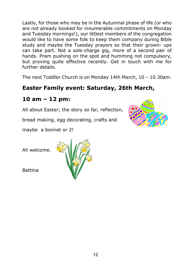Lastly, for those who may be in the Autumnal phase of life (or who are not already booked for innumerable commitments on Monday and Tuesday mornings!), our littlest members of the congregation would like to have some folk to keep them company during Bible study and maybe the Tuesday prayers so that their grown- ups can take part. Not a sole-charge gig, more of a second pair of hands. Pram pushing on the spot and humming not compulsory, but proving quite effective recently. Get in touch with me for further details.

The next Toddler Church is on Monday 14th March, 10 – 10.30am.

# **Easter Family event: Saturday, 26th March,**

## **10 am – 12 pm:**

All about Easter; the story so far, reflection,

bread making, egg decorating, crafts and

maybe a bonnet or 2!

All welcome.

Bettina



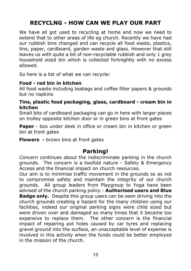# **RECYCLNG - HOW CAN WE PLAY OUR PART**

We have all got used to recycling at home and now we need to extend that to other areas of life eg church. Recently we have had our rubbish bins changed and can recycle all food waste, plastics, tins, paper, cardboard, garden waste and glass. However that still leaves us with quite a bit of non-recyclable rubbish and only 1 grey household sized bin which is collected fortnightly with no excess allowed.

So here is a list of what we can recycle:

#### **Food - red bin in kitchen**

All food waste including teabags and coffee filter papers & grounds but no napkins

#### **Tins, plastic food packaging, glass, cardboard - cream bin in kitchen**

Small bits of cardboard packaging can go in here with larger pieces on trolley opposite kitchen door or in green bins at front gates

**Paper** - box under desk in office or cream bin in kitchen or green bin at front gates

**Flowers** - brown bins at front gates

#### **Parking!**

Concern continues about the indiscriminate parking in the church grounds. The concern is a twofold nature - Safety & Emergency Access and the financial impact on church resources.

Our aim is to minimise traffic movement in the grounds so as not to compromise safety and maintain the integrity of our church grounds. All group leaders from Playgroup to Yoga have been advised of the church parking policy : **Authorised users and Blue Badge only.** Despite this group users can be seen driving into the church grounds creating a hazard for the many children using our facilities, indeed our original parking signs were child sized but were driven over and damaged so many times that it became too expensive to replace them. The other concern is the financial impact of repairing pot holes caused by car tyres and replacing gravel ground into the surface, an unacceptable level of expense is involved in this activity when the funds could be better employed in the mission of the church.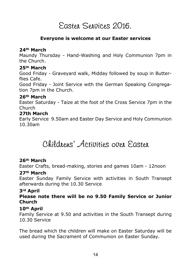# Easter Services 2016

#### **Everyone is welcome at our Easter services**

#### **24th March**

Maundy Thursday - Hand-Washing and Holy Communion 7pm in the Church.

#### **25th March**

Good Friday - Graveyard walk, Midday followed by soup in Butterflies Cafe.

Good Friday - Joint Service with the German Speaking Congregation 7pm in the Church.

#### **26th March**

Easter Saturday - Taize at the foot of the Cross Service 7pm in the Church

#### **27th March**

Early Service 9.50am and Easter Day Service and Holy Communion 10.30am

# Childrens' Activities over Easter

#### **26th March**

Easter Crafts, bread-making, stories and games 10am - 12noon

#### **27th March**

Easter Sunday Family Service with activities in South Transept afterwards during the 10.30 Service

#### **3rd April**

#### **Please note there will be no 9.50 Family Service or Junior Church**

#### **10th April**

Family Service at 9.50 and activities in the South Transept during 10.30 Service

The bread which the children will make on Easter Saturday will be used during the Sacrament of Communion on Easter Sunday.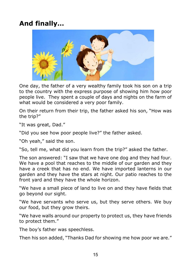# **And finally…**



One day, the father of a very wealthy family took his son on a trip to the country with the express purpose of showing him how poor people live. They spent a couple of days and nights on the farm of what would be considered a very poor family.

On their return from their trip, the father asked his son, "How was the trip?"

"It was great, Dad."

"Did you see how poor people live?" the father asked.

"Oh yeah," said the son.

"So, tell me, what did you learn from the trip?" asked the father.

The son answered: "I saw that we have one dog and they had four. We have a pool that reaches to the middle of our garden and they have a creek that has no end. We have imported lanterns in our garden and they have the stars at night. Our patio reaches to the front yard and they have the whole horizon.

"We have a small piece of land to live on and they have fields that go beyond our sight.

"We have servants who serve us, but they serve others. We buy our food, but they grow theirs.

"We have walls around our property to protect us, they have friends to protect them."

The boy's father was speechless.

Then his son added, "Thanks Dad for showing me how poor we are."